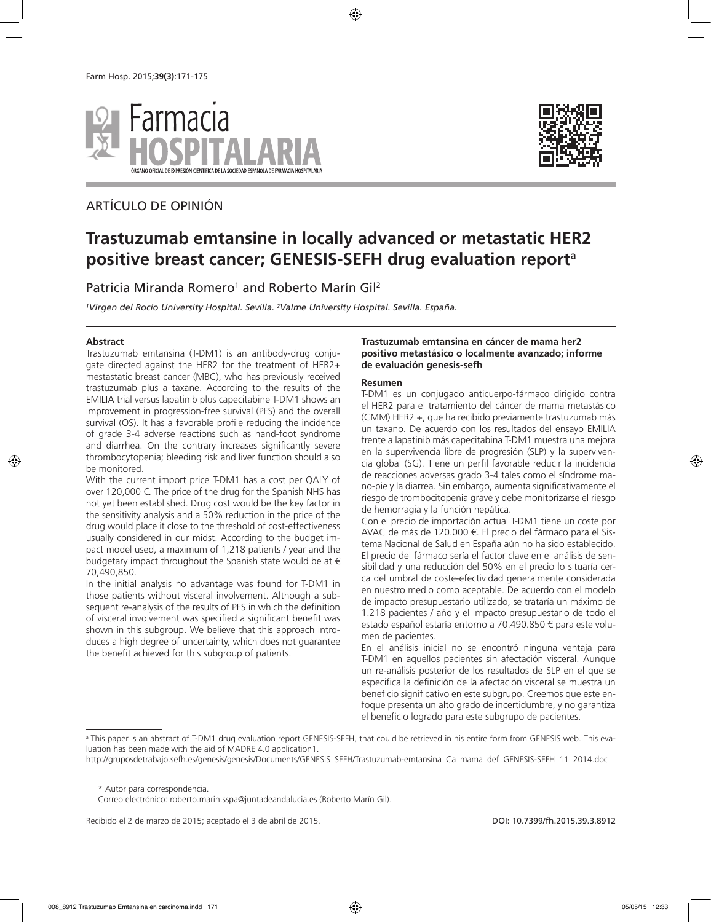

# ARTÍCULO DE OPINIÓN



# **Trastuzumab emtansine in locally advanced or metastatic HER2 positive breast cancer; GENESIS-SEFH drug evaluation reporta**

Patricia Miranda Romero<sup>1</sup> and Roberto Marín Gil<sup>2</sup>

*1 Virgen del Rocío University Hospital. Sevilla. 2 Valme University Hospital. Sevilla. España.*

### **Abstract**

Trastuzumab emtansina (T-DM1) is an antibody-drug conjugate directed against the HER2 for the treatment of HER2+ mestastatic breast cancer (MBC), who has previously received trastuzumab plus a taxane. According to the results of the EMILIA trial versus lapatinib plus capecitabine T-DM1 shows an improvement in progression-free survival (PFS) and the overall survival (OS). It has a favorable profile reducing the incidence of grade 3-4 adverse reactions such as hand-foot syndrome and diarrhea. On the contrary increases significantly severe thrombocytopenia; bleeding risk and liver function should also be monitored.

With the current import price T-DM1 has a cost per QALY of over 120,000 €. The price of the drug for the Spanish NHS has not yet been established. Drug cost would be the key factor in the sensitivity analysis and a 50% reduction in the price of the drug would place it close to the threshold of cost-effectiveness usually considered in our midst. According to the budget impact model used, a maximum of 1,218 patients / year and the budgetary impact throughout the Spanish state would be at € 70,490,850.

In the initial analysis no advantage was found for T-DM1 in those patients without visceral involvement. Although a subsequent re-analysis of the results of PFS in which the definition of visceral involvement was specified a significant benefit was shown in this subgroup. We believe that this approach introduces a high degree of uncertainty, which does not guarantee the benefit achieved for this subgroup of patients.

#### **Trastuzumab emtansina en cáncer de mama her2 positivo metastásico o localmente avanzado; informe de evaluación genesis-sefh**

#### **Resumen**

T-DM1 es un conjugado anticuerpo-fármaco dirigido contra el HER2 para el tratamiento del cáncer de mama metastásico (CMM) HER2 +, que ha recibido previamente trastuzumab más un taxano. De acuerdo con los resultados del ensayo EMILIA frente a lapatinib más capecitabina T-DM1 muestra una mejora en la supervivencia libre de progresión (SLP) y la supervivencia global (SG). Tiene un perfil favorable reducir la incidencia de reacciones adversas grado 3-4 tales como el síndrome mano-pie y la diarrea. Sin embargo, aumenta significativamente el riesgo de trombocitopenia grave y debe monitorizarse el riesgo de hemorragia y la función hepática.

Con el precio de importación actual T-DM1 tiene un coste por AVAC de más de 120.000 €. El precio del fármaco para el Sistema Nacional de Salud en España aún no ha sido establecido. El precio del fármaco sería el factor clave en el análisis de sensibilidad y una reducción del 50% en el precio lo situaría cerca del umbral de coste-efectividad generalmente considerada en nuestro medio como aceptable. De acuerdo con el modelo de impacto presupuestario utilizado, se trataría un máximo de 1.218 pacientes / año y el impacto presupuestario de todo el estado español estaría entorno a 70.490.850 € para este volumen de pacientes.

En el análisis inicial no se encontró ninguna ventaja para T-DM1 en aquellos pacientes sin afectación visceral. Aunque un re-análisis posterior de los resultados de SLP en el que se especifica la definición de la afectación visceral se muestra un beneficio significativo en este subgrupo. Creemos que este enfoque presenta un alto grado de incertidumbre, y no garantiza el beneficio logrado para este subgrupo de pacientes.

\* Autor para correspondencia.

Recibido el 2 de marzo de 2015; aceptado el 3 de abril de 2015. DOI: 10.7399/fh.2015.39.3.8912

a This paper is an abstract of T-DM1 drug evaluation report GENESIS-SEFH, that could be retrieved in his entire form from GENESIS web. This evaluation has been made with the aid of MADRE 4.0 application1.

http://gruposdetrabajo.sefh.es/genesis/genesis/Documents/GENESIS\_SEFH/Trastuzumab-emtansina\_Ca\_mama\_def\_GENESIS-SEFH\_11\_2014.doc

Correo electrónico: roberto.marin.sspa@juntadeandalucia.es (Roberto Marín Gil).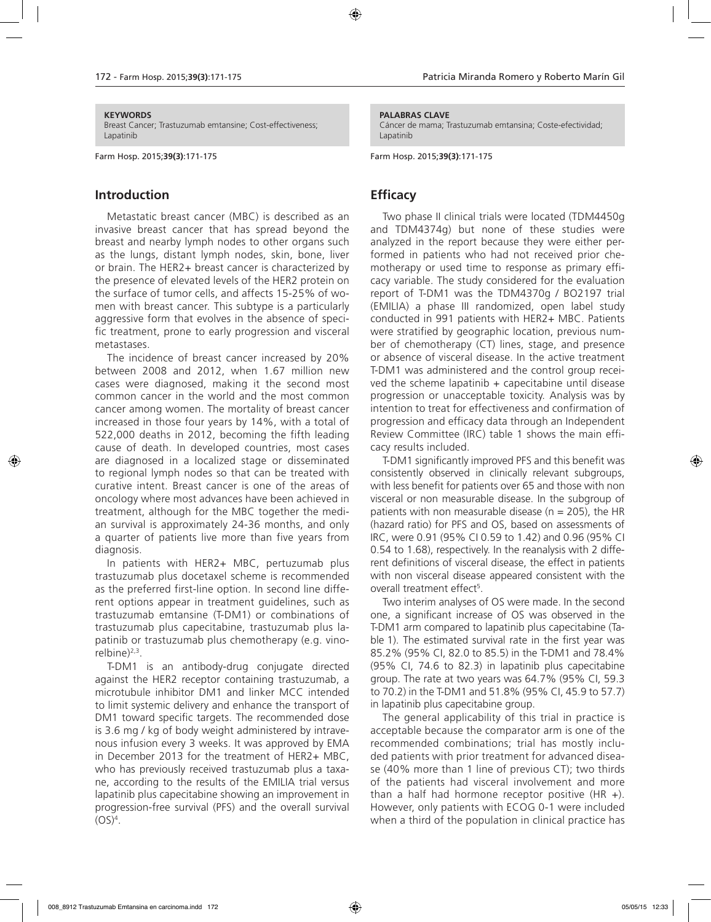#### **KEYWORDS**

Breast Cancer; Trastuzumab emtansine; Cost-effectiveness; Lapatinib

Farm Hosp. 2015;**39(3)**:171-175

### **Introduction**

Metastatic breast cancer (MBC) is described as an invasive breast cancer that has spread beyond the breast and nearby lymph nodes to other organs such as the lungs, distant lymph nodes, skin, bone, liver or brain. The HER2+ breast cancer is characterized by the presence of elevated levels of the HER2 protein on the surface of tumor cells, and affects 15-25% of women with breast cancer. This subtype is a particularly aggressive form that evolves in the absence of specific treatment, prone to early progression and visceral metastases.

The incidence of breast cancer increased by 20% between 2008 and 2012, when 1.67 million new cases were diagnosed, making it the second most common cancer in the world and the most common cancer among women. The mortality of breast cancer increased in those four years by 14%, with a total of 522,000 deaths in 2012, becoming the fifth leading cause of death. In developed countries, most cases are diagnosed in a localized stage or disseminated to regional lymph nodes so that can be treated with curative intent. Breast cancer is one of the areas of oncology where most advances have been achieved in treatment, although for the MBC together the median survival is approximately 24-36 months, and only a quarter of patients live more than five years from diagnosis.

In patients with HER2+ MBC, pertuzumab plus trastuzumab plus docetaxel scheme is recommended as the preferred first-line option. In second line different options appear in treatment guidelines, such as trastuzumab emtansine (T-DM1) or combinations of trastuzumab plus capecitabine, trastuzumab plus lapatinib or trastuzumab plus chemotherapy (e.g. vinorelbine $)^{2,3}$ .

T-DM1 is an antibody-drug conjugate directed against the HER2 receptor containing trastuzumab, a microtubule inhibitor DM1 and linker MCC intended to limit systemic delivery and enhance the transport of DM1 toward specific targets. The recommended dose is 3.6 mg / kg of body weight administered by intravenous infusion every 3 weeks. It was approved by EMA in December 2013 for the treatment of HER2+ MBC, who has previously received trastuzumab plus a taxane, according to the results of the EMILIA trial versus lapatinib plus capecitabine showing an improvement in progression-free survival (PFS) and the overall survival  $(OS)^4$ .

#### **PALABRAS CLAVE**

Cáncer de mama; Trastuzumab emtansina; Coste-efectividad; Lapatinib

Farm Hosp. 2015;**39(3)**:171-175

### **Efficacy**

Two phase II clinical trials were located (TDM4450g and TDM4374g) but none of these studies were analyzed in the report because they were either performed in patients who had not received prior chemotherapy or used time to response as primary efficacy variable. The study considered for the evaluation report of T-DM1 was the TDM4370g / BO2197 trial (EMILIA) a phase III randomized, open label study conducted in 991 patients with HER2+ MBC. Patients were stratified by geographic location, previous number of chemotherapy (CT) lines, stage, and presence or absence of visceral disease. In the active treatment T-DM1 was administered and the control group received the scheme lapatinib  $+$  capecitabine until disease progression or unacceptable toxicity. Analysis was by intention to treat for effectiveness and confirmation of progression and efficacy data through an Independent Review Committee (IRC) table 1 shows the main efficacy results included.

T-DM1 significantly improved PFS and this benefit was consistently observed in clinically relevant subgroups, with less benefit for patients over 65 and those with non visceral or non measurable disease. In the subgroup of patients with non measurable disease ( $n = 205$ ), the HR (hazard ratio) for PFS and OS, based on assessments of IRC, were 0.91 (95% CI 0.59 to 1.42) and 0.96 (95% CI 0.54 to 1.68), respectively. In the reanalysis with 2 different definitions of visceral disease, the effect in patients with non visceral disease appeared consistent with the overall treatment effect<sup>5</sup>.

Two interim analyses of OS were made. In the second one, a significant increase of OS was observed in the T-DM1 arm compared to lapatinib plus capecitabine (Table 1). The estimated survival rate in the first year was 85.2% (95% CI, 82.0 to 85.5) in the T-DM1 and 78.4% (95% CI, 74.6 to 82.3) in lapatinib plus capecitabine group. The rate at two years was 64.7% (95% CI, 59.3 to 70.2) in the T-DM1 and 51.8% (95% CI, 45.9 to 57.7) in lapatinib plus capecitabine group.

The general applicability of this trial in practice is acceptable because the comparator arm is one of the recommended combinations; trial has mostly included patients with prior treatment for advanced disease (40% more than 1 line of previous CT); two thirds of the patients had visceral involvement and more than a half had hormone receptor positive  $(HR +)$ . However, only patients with ECOG 0-1 were included when a third of the population in clinical practice has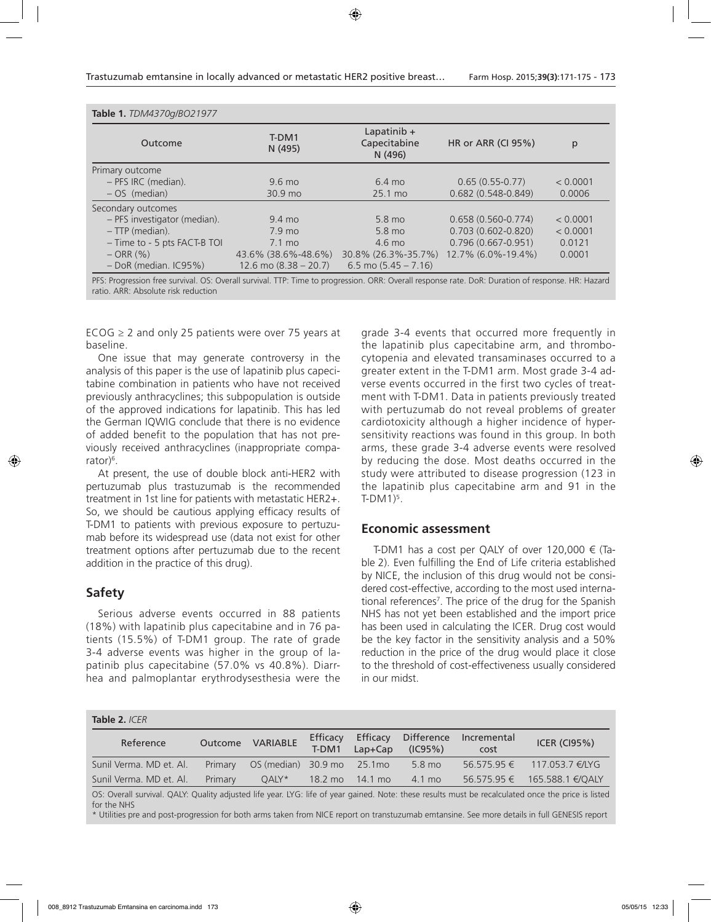| Table 1. TDM4370g/BO21977    |                                  |                                          |                           |          |  |  |  |  |  |  |
|------------------------------|----------------------------------|------------------------------------------|---------------------------|----------|--|--|--|--|--|--|
| Outcome                      | T-DM1<br>N (495)                 | Lapatinib $+$<br>Capecitabine<br>N (496) | <b>HR or ARR (CI 95%)</b> | p        |  |  |  |  |  |  |
| Primary outcome              |                                  |                                          |                           |          |  |  |  |  |  |  |
| - PFS IRC (median).          | $9.6 \text{ mo}$                 |                                          | $0.65(0.55-0.77)$         | < 0.0001 |  |  |  |  |  |  |
| $-OS$ (median)               | 30.9 mo                          | 25.1 mo                                  | $0.682(0.548-0.849)$      | 0.0006   |  |  |  |  |  |  |
| Secondary outcomes           |                                  |                                          |                           |          |  |  |  |  |  |  |
| - PFS investigator (median). | $9.4 \text{ mo}$                 |                                          | $0.658(0.560 - 0.774)$    | < 0.0001 |  |  |  |  |  |  |
| - TTP (median).              | $7.9$ mo                         |                                          | $0.703(0.602 - 0.820)$    | < 0.0001 |  |  |  |  |  |  |
| - Time to - 5 pts FACT-B TOI | $7.1 \text{ mo}$                 | $4.6 \text{ mo}$                         | $0.796(0.667 - 0.951)$    | 0.0121   |  |  |  |  |  |  |
| $-$ ORR $(% )$               | 43.6% (38.6%-48.6%)              | 30.8% (26.3%-35.7%)                      | 12.7% (6.0%-19.4%)        | 0.0001   |  |  |  |  |  |  |
| $-DoR$ (median, $IC95\%)$    | $12.6 \text{ mo } (8.38 - 20.7)$ | 6.5 mo $(5.45 - 7.16)$                   |                           |          |  |  |  |  |  |  |

PFS: Progression free survival. OS: Overall survival. TTP: Time to progression. ORR: Overall response rate. DoR: Duration of response. HR: Hazard ratio. ARR: Absolute risk reduction

ECOG  $\geq$  2 and only 25 patients were over 75 years at baseline.

One issue that may generate controversy in the analysis of this paper is the use of lapatinib plus capecitabine combination in patients who have not received previously anthracyclines; this subpopulation is outside of the approved indications for lapatinib. This has led the German IQWIG conclude that there is no evidence of added benefit to the population that has not previously received anthracyclines (inappropriate comparator)<sup>6</sup>.

At present, the use of double block anti-HER2 with pertuzumab plus trastuzumab is the recommended treatment in 1st line for patients with metastatic HER2+. So, we should be cautious applying efficacy results of T-DM1 to patients with previous exposure to pertuzumab before its widespread use (data not exist for other treatment options after pertuzumab due to the recent addition in the practice of this drug).

### **Safety**

Serious adverse events occurred in 88 patients (18%) with lapatinib plus capecitabine and in 76 patients (15.5%) of T-DM1 group. The rate of grade 3-4 adverse events was higher in the group of lapatinib plus capecitabine (57.0% vs 40.8%). Diarrhea and palmoplantar erythrodysesthesia were the grade 3-4 events that occurred more frequently in the lapatinib plus capecitabine arm, and thrombocytopenia and elevated transaminases occurred to a greater extent in the T-DM1 arm. Most grade 3-4 adverse events occurred in the first two cycles of treatment with T-DM1. Data in patients previously treated with pertuzumab do not reveal problems of greater cardiotoxicity although a higher incidence of hypersensitivity reactions was found in this group. In both arms, these grade 3-4 adverse events were resolved by reducing the dose. Most deaths occurred in the study were attributed to disease progression (123 in the lapatinib plus capecitabine arm and 91 in the  $T-DM1$ <sup>5</sup>.

### **Economic assessment**

T-DM1 has a cost per QALY of over 120,000  $\epsilon$  (Table 2). Even fulfilling the End of Life criteria established by NICE, the inclusion of this drug would not be considered cost-effective, according to the most used international references7 . The price of the drug for the Spanish NHS has not yet been established and the import price has been used in calculating the ICER. Drug cost would be the key factor in the sensitivity analysis and a 50% reduction in the price of the drug would place it close to the threshold of cost-effectiveness usually considered in our midst.

| Table 2. <i>ICER</i>    |         |                     |                   |                         |                       |                     |                  |  |  |  |
|-------------------------|---------|---------------------|-------------------|-------------------------|-----------------------|---------------------|------------------|--|--|--|
| Reference               | Outcome | VARIABLE            | Efficacy<br>T-DM1 | Efficacy<br>$Lap + Cap$ | Difference<br>(IC95%) | Incremental<br>cost | ICER $(C195%)$   |  |  |  |
| Sunil Verma. MD et. Al. | Primary | OS (median) 30.9 mo |                   | 25.1mo                  | 5.8 mo                | $56.575.95 \in$     | 117,053.7 €/LYG  |  |  |  |
| Sunil Verma. MD et. Al. | Primary | $OALY^*$            | $18.2 \text{ mo}$ | 14.1 mo                 | 4.1 mo                | 56.575.95 €         | 165.588.1 €/OALY |  |  |  |

OS: Overall survival. QALY: Quality adjusted life year. LYG: life of year gained. Note: these results must be recalculated once the price is listed for the NHS

\* Utilities pre and post-progression for both arms taken from NICE report on transtuzumab emtansine. See more details in full GENESIS report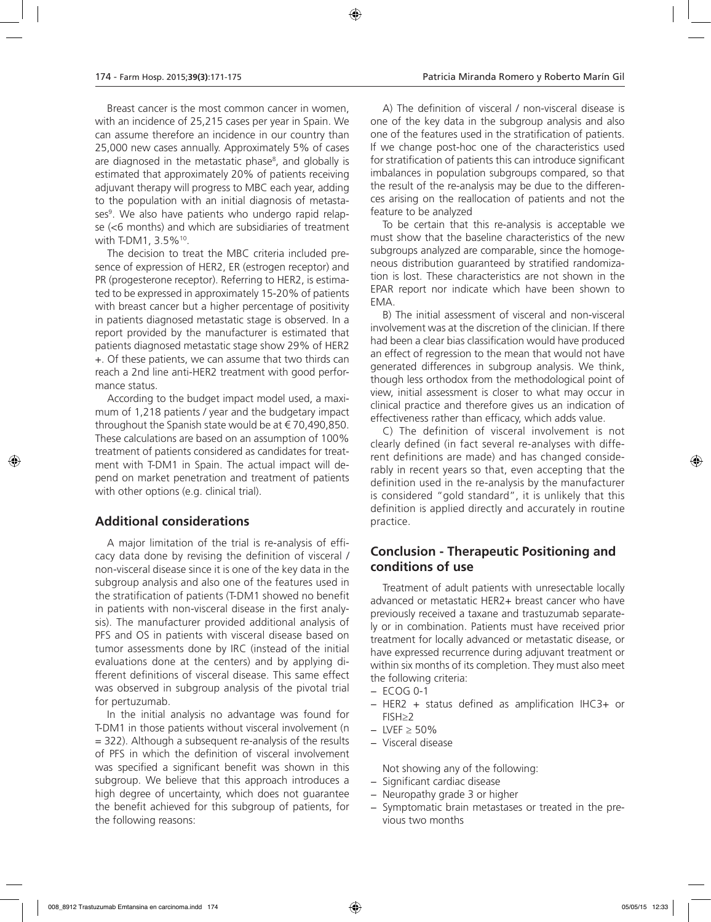Breast cancer is the most common cancer in women, with an incidence of 25,215 cases per year in Spain. We can assume therefore an incidence in our country than 25,000 new cases annually. Approximately 5% of cases are diagnosed in the metastatic phase<sup>s</sup>, and globally is estimated that approximately 20% of patients receiving adjuvant therapy will progress to MBC each year, adding to the population with an initial diagnosis of metastases<sup>9</sup>. We also have patients who undergo rapid relapse (<6 months) and which are subsidiaries of treatment with T-DM1, 3.5%<sup>10</sup>.

The decision to treat the MBC criteria included presence of expression of HER2, ER (estrogen receptor) and PR (progesterone receptor). Referring to HER2, is estimated to be expressed in approximately 15-20% of patients with breast cancer but a higher percentage of positivity in patients diagnosed metastatic stage is observed. In a report provided by the manufacturer is estimated that patients diagnosed metastatic stage show 29% of HER2 +. Of these patients, we can assume that two thirds can reach a 2nd line anti-HER2 treatment with good performance status.

According to the budget impact model used, a maximum of 1,218 patients / year and the budgetary impact throughout the Spanish state would be at  $\epsilon$  70,490,850. These calculations are based on an assumption of 100% treatment of patients considered as candidates for treatment with T-DM1 in Spain. The actual impact will depend on market penetration and treatment of patients with other options (e.g. clinical trial).

# **Additional considerations**

A major limitation of the trial is re-analysis of efficacy data done by revising the definition of visceral / non-visceral disease since it is one of the key data in the subgroup analysis and also one of the features used in the stratification of patients (T-DM1 showed no benefit in patients with non-visceral disease in the first analysis). The manufacturer provided additional analysis of PFS and OS in patients with visceral disease based on tumor assessments done by IRC (instead of the initial evaluations done at the centers) and by applying different definitions of visceral disease. This same effect was observed in subgroup analysis of the pivotal trial for pertuzumab.

In the initial analysis no advantage was found for T-DM1 in those patients without visceral involvement (n = 322). Although a subsequent re-analysis of the results of PFS in which the definition of visceral involvement was specified a significant benefit was shown in this subgroup. We believe that this approach introduces a high degree of uncertainty, which does not guarantee the benefit achieved for this subgroup of patients, for the following reasons:

A) The definition of visceral / non-visceral disease is one of the key data in the subgroup analysis and also one of the features used in the stratification of patients. If we change post-hoc one of the characteristics used for stratification of patients this can introduce significant imbalances in population subgroups compared, so that the result of the re-analysis may be due to the differences arising on the reallocation of patients and not the feature to be analyzed

To be certain that this re-analysis is acceptable we must show that the baseline characteristics of the new subgroups analyzed are comparable, since the homogeneous distribution guaranteed by stratified randomization is lost. These characteristics are not shown in the EPAR report nor indicate which have been shown to EMA.

B) The initial assessment of visceral and non-visceral involvement was at the discretion of the clinician. If there had been a clear bias classification would have produced an effect of regression to the mean that would not have generated differences in subgroup analysis. We think, though less orthodox from the methodological point of view, initial assessment is closer to what may occur in clinical practice and therefore gives us an indication of effectiveness rather than efficacy, which adds value.

C) The definition of visceral involvement is not clearly defined (in fact several re-analyses with different definitions are made) and has changed considerably in recent years so that, even accepting that the definition used in the re-analysis by the manufacturer is considered "gold standard", it is unlikely that this definition is applied directly and accurately in routine practice.

# **Conclusion - Therapeutic Positioning and conditions of use**

Treatment of adult patients with unresectable locally advanced or metastatic HER2+ breast cancer who have previously received a taxane and trastuzumab separately or in combination. Patients must have received prior treatment for locally advanced or metastatic disease, or have expressed recurrence during adjuvant treatment or within six months of its completion. They must also meet the following criteria:

- − ECOG 0-1
- − HER2 + status defined as amplification IHC3+ or FISH≥2
- − LVEF ≥ 50%
- − Visceral disease

Not showing any of the following:

- − Significant cardiac disease
- − Neuropathy grade 3 or higher
- − Symptomatic brain metastases or treated in the previous two months